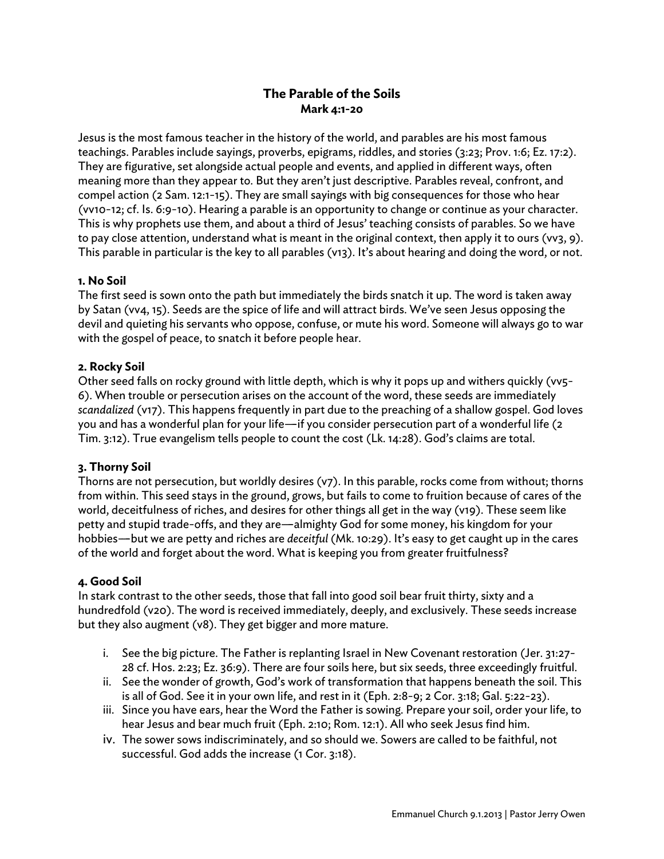# **The Parable of the Soils Mark 4:1-20**

Jesus is the most famous teacher in the history of the world, and parables are his most famous teachings. Parables include sayings, proverbs, epigrams, riddles, and stories (3:23; Prov. 1:6; Ez. 17:2). They are figurative, set alongside actual people and events, and applied in different ways, often meaning more than they appear to. But they aren't just descriptive. Parables reveal, confront, and compel action (2 Sam. 12:1-15). They are small sayings with big consequences for those who hear (vv10-12; cf. Is. 6:9-10). Hearing a parable is an opportunity to change or continue as your character. This is why prophets use them, and about a third of Jesus' teaching consists of parables. So we have to pay close attention, understand what is meant in the original context, then apply it to ours (vv3, 9). This parable in particular is the key to all parables (v13). It's about hearing and doing the word, or not.

#### **1. No Soil**

The first seed is sown onto the path but immediately the birds snatch it up. The word is taken away by Satan (vv4, 15). Seeds are the spice of life and will attract birds. We've seen Jesus opposing the devil and quieting his servants who oppose, confuse, or mute his word. Someone will always go to war with the gospel of peace, to snatch it before people hear.

#### **2. Rocky Soil**

Other seed falls on rocky ground with little depth, which is why it pops up and withers quickly (vv5- 6). When trouble or persecution arises on the account of the word, these seeds are immediately *scandalized* (v17). This happens frequently in part due to the preaching of a shallow gospel. God loves you and has a wonderful plan for your life-if you consider persecution part of a wonderful life (2 Tim. 3:12). True evangelism tells people to count the cost (Lk. 14:28). God's claims are total.

#### **3. Thorny Soil**

Thorns are not persecution, but worldly desires (v7). In this parable, rocks come from without; thorns from within. This seed stays in the ground, grows, but fails to come to fruition because of cares of the world, deceitfulness of riches, and desires for other things all get in the way (v19). These seem like petty and stupid trade-offs, and they are—almighty God for some money, his kingdom for your hobbies---but we are petty and riches are *deceitful* (Mk. 10:29). It's easy to get caught up in the cares of the world and forget about the word. What is keeping you from greater fruitfulness?

#### **4. Good Soil**

In stark contrast to the other seeds, those that fall into good soil bear fruit thirty, sixty and a hundredfold (v20). The word is received immediately, deeply, and exclusively. These seeds increase but they also augment (v8). They get bigger and more mature.

- i. See the big picture. The Father is replanting Israel in New Covenant restoration (Jer. 31:27- 28 cf. Hos. 2:23; Ez. 36:9). There are four soils here, but six seeds, three exceedingly fruitful.
- ii. See the wonder of growth, God's work of transformation that happens beneath the soil. This is all of God. See it in your own life, and rest in it (Eph. 2:8-9; 2 Cor. 3:18; Gal. 5:22-23).
- iii. Since you have ears, hear the Word the Father is sowing. Prepare your soil, order your life, to hear Jesus and bear much fruit (Eph. 2:10; Rom. 12:1). All who seek Jesus find him.
- iv. The sower sows indiscriminately, and so should we. Sowers are called to be faithful, not successful. God adds the increase (1 Cor. 3:18).